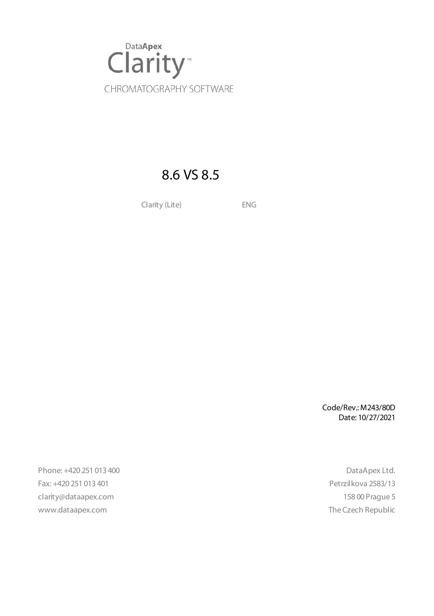

### 8.6 VS 8.5

Clarity (Lite) ENG

Code/Rev.: M243/80D Date: 10/27/2021

Phone: +420 251 013 400 DataApex Ltd. Fax: +420 251 013 401 Petrzilkova 2583/13 clarity@dataapex.com 158 00 Prague 5 www.dataapex.com **The Czech Republic** Republic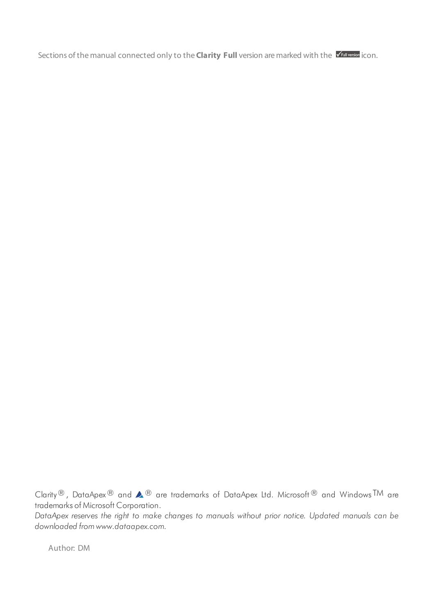Sections of the manual connected only to the **Clarity Full** version are marked with the *VEUI Wession* icon.

Clarity®, DataApex® and  $\triangle$ <sup>®</sup> are trademarks of DataApex Ltd. Microsoft® and Windows TM are trademarks of Microsoft Corporation.

*DataApex reserves the right to make changes to manuals without prior notice. Updated manuals can be downloaded from www.dataapex.com.*

Author: DM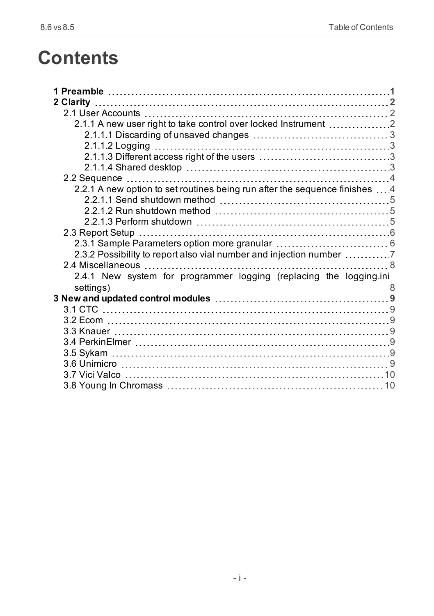# **Contents**

| 2 Clarity                                                                   |  |
|-----------------------------------------------------------------------------|--|
|                                                                             |  |
| 2.1.1 A new user right to take control over locked Instrument 2             |  |
|                                                                             |  |
|                                                                             |  |
|                                                                             |  |
|                                                                             |  |
|                                                                             |  |
| 2.2.1 A new option to set routines being run after the sequence finishes  4 |  |
|                                                                             |  |
|                                                                             |  |
|                                                                             |  |
|                                                                             |  |
|                                                                             |  |
| 2.3.2 Possibility to report also vial number and injection number 7         |  |
|                                                                             |  |
| 2.4.1 New system for programmer logging (replacing the logging.ini          |  |
|                                                                             |  |
|                                                                             |  |
|                                                                             |  |
|                                                                             |  |
|                                                                             |  |
|                                                                             |  |
|                                                                             |  |
|                                                                             |  |
|                                                                             |  |
|                                                                             |  |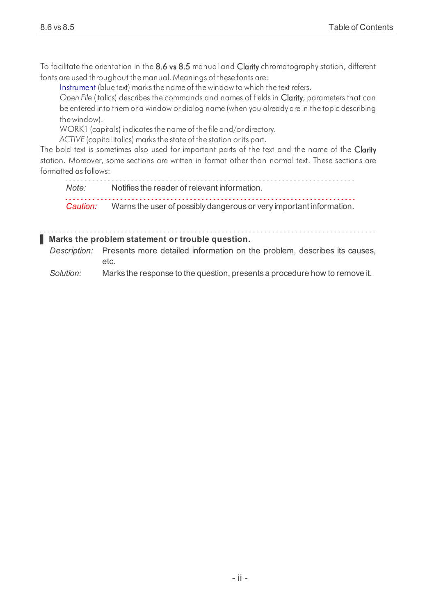To facilitate the orientation in the 8.6 vs 8.5 manual and Clarity chromatography station, different fonts are used throughout the manual. Meanings of these fonts are:

[Instrument](ms-its:Clarity.chm::/Help/020-instrument/020.000-instrument/020-instrument.htm) (blue text) marks the name of the window to which the text refers.

*Open File* (italics) describes the commands and names of fields in Clarity, parameters that can be entered into them or a window or dialog name (when you already are in the topic describing thewindow).

WORK1 (capitals) indicates the name of the file and/or directory.

*ACTIVE* (capital italics) marks the state of the station or its part.

The bold text is sometimes also used for important parts of the text and the name of the Clarity station. Moreover, some sections are written in format other than normal text. These sections are formatted asfollows:

*Note:* Notifies the reader of relevant information. *Caution:* Warns the user of possibly dangerous or very important information.

#### **▌ Marks the problem statement or trouble question.**

*Description:* Presents more detailed information on the problem, describes its causes, etc.

*Solution:* Marks the response to the question, presents a procedure how to remove it.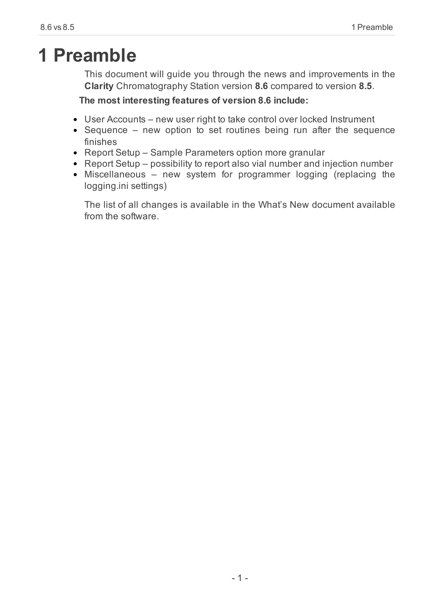## <span id="page-4-0"></span>**1 Preamble**

This document will guide you through the news and improvements in the **Clarity** Chromatography Station version **8.6** compared to version **8.5**.

#### **The most interesting features of version 8.6 include:**

- User Accounts new user right to take control over locked Instrument
- Sequence new option to set routines being run after the sequence finishes
- Report Setup Sample Parameters option more granular
- Report Setup possibility to report also vial number and injection number
- Miscellaneous new system for programmer logging (replacing the logging.ini settings)

The list of all changes is available in the What's New document available from the software.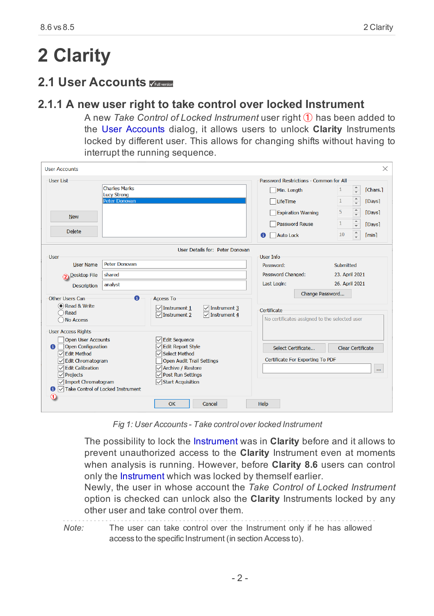# <span id="page-5-0"></span>**2 Clarity**

### <span id="page-5-2"></span><span id="page-5-1"></span>**2.1 User Accounts**

#### **2.1.1 A new user right to take control over locked Instrument**

A new *Take Control of Locked Instrument* user right ① has been added to the User Accounts dialog, it allows users to unlock **Clarity** Instruments locked by different user. This allows for changing shifts without having to interrupt the running sequence.

| <b>User Accounts</b>                                                                                                                                                                                                                                                            |                                                             |                                                                                                                                                                                     |                                                      |                                                            |                                                                                       |                                                         | ×                                                                                                                                       |
|---------------------------------------------------------------------------------------------------------------------------------------------------------------------------------------------------------------------------------------------------------------------------------|-------------------------------------------------------------|-------------------------------------------------------------------------------------------------------------------------------------------------------------------------------------|------------------------------------------------------|------------------------------------------------------------|---------------------------------------------------------------------------------------|---------------------------------------------------------|-----------------------------------------------------------------------------------------------------------------------------------------|
| User List<br><b>New</b><br><b>Delete</b>                                                                                                                                                                                                                                        | <b>Charles Marks</b><br><b>Lucy Strong</b><br>Peter Donovan |                                                                                                                                                                                     |                                                      | Min. Length<br>LifeTime<br><b>Auto Lock</b><br>o           | Password Restrictions - Common for All<br><b>Expiration Warning</b><br>Password Reuse | $\mathbf{1}$<br>$\mathbf{1}$<br>5<br>$\mathbf{1}$<br>10 | $\frac{1}{\tau}$<br>[Chars.]<br>$\frac{1}{\tau}$<br>[Days]<br>$\frac{1}{\nu}$<br>[Days]<br>[Days]<br>$\mathbf{v}$<br>$\hat{z}$<br>[min] |
|                                                                                                                                                                                                                                                                                 |                                                             |                                                                                                                                                                                     | User Details for: Peter Donovan                      |                                                            |                                                                                       |                                                         |                                                                                                                                         |
| <b>User</b><br><b>User Name</b><br><b>Desktop File</b><br><b>Description</b>                                                                                                                                                                                                    | <b>Peter Donovan</b><br>shared<br>analyst                   |                                                                                                                                                                                     |                                                      | User Info<br>Password:<br>Password Changed:<br>Last Login: |                                                                                       | Submitted<br>23. April 2021<br>26. April 2021           |                                                                                                                                         |
| Other Users Can<br>C Read & Write<br>Read<br>No Access                                                                                                                                                                                                                          | $\bullet$                                                   | <b>Access To</b><br>$\sqrt{\ }$ Instrument 1<br>$\sqrt{}$ Instrument 2                                                                                                              | $\sqrt{\ }$ Instrument 3<br>$\sqrt{\ }$ Instrument 4 | Certificate                                                | Change Password<br>No certificates assigned to the selected user                      |                                                         |                                                                                                                                         |
| <b>User Access Rights</b><br><b>Open User Accounts</b><br><b>Open Configuration</b><br>n.<br><b>▽</b> Edit Method<br><b>Edit Chromatogram</b><br>∨<br><b>Edit Calibration</b><br>$\checkmark$<br>$\sqrt{}$ Projects<br>Import Chromatogram<br>Take Control of Locked Instrument |                                                             | <b>∠</b> Edit Sequence<br>√ Edit Report Style<br>Select Method<br><b>Open Audit Trail Settings</b><br>Archive / Restore<br>$\sqrt{}$ Post Run Settings<br><b>√Start Acquisition</b> |                                                      |                                                            | Select Certificate<br>Certificate For Exporting To PDF                                |                                                         | Clear Certificate<br>                                                                                                                   |
|                                                                                                                                                                                                                                                                                 |                                                             | OK                                                                                                                                                                                  | Cancel                                               | Help                                                       |                                                                                       |                                                         |                                                                                                                                         |

*Fig 1: User Accounts - Take control over locked Instrument*

The possibility to lock the Instrument was in **Clarity** before and it allows to prevent unauthorized access to the **Clarity** Instrument even at moments when analysis is running. However, before **Clarity 8.6** users can control only the Instrument which was locked by themself earlier.

Newly, the user in whose account the *Take Control of Locked Instrument* option is checked can unlock also the **Clarity** Instruments locked by any other user and take control over them.

*Note:* The user can take control over the Instrument only if he has allowed access to the specific Instrument (in section Access to).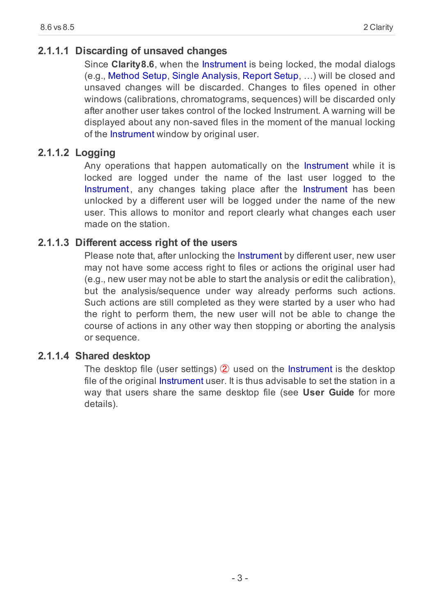#### <span id="page-6-0"></span>**2.1.1.1 Discarding of unsaved changes**

Since **Clarity8.6**, when the Instrument is being locked, the modal dialogs (e.g., Method Setup, Single Analysis, Report Setup, …) will be closed and unsaved changes will be discarded. Changes to files opened in other windows (calibrations, chromatograms, sequences) will be discarded only after another user takes control of the locked Instrument. A warning will be displayed about any non-saved files in the moment of the manual locking of the Instrument window by original user.

#### <span id="page-6-1"></span>**2.1.1.2 Logging**

Any operations that happen automatically on the Instrument while it is locked are logged under the name of the last user logged to the Instrument, any changes taking place after the Instrument has been unlocked by a different user will be logged under the name of the new user. This allows to monitor and report clearly what changes each user made on the station.

#### <span id="page-6-2"></span>**2.1.1.3 Different access right of the users**

Please note that, after unlocking the Instrument by different user, new user may not have some access right to files or actions the original user had (e.g., new user may not be able to start the analysis or edit the calibration), but the analysis/sequence under way already performs such actions. Such actions are still completed as they were started by a user who had the right to perform them, the new user will not be able to change the course of actions in any other way then stopping or aborting the analysis or sequence.

#### <span id="page-6-3"></span>**2.1.1.4 Shared desktop**

The desktop file (user settings) ② used on the Instrument is the desktop file of the original Instrument user. It is thus advisable to set the station in a way that users share the same desktop file (see **User Guide** for more details).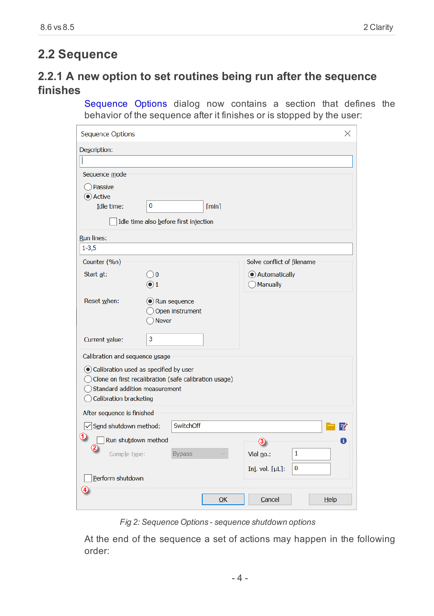### <span id="page-7-1"></span><span id="page-7-0"></span>**2.2 Sequence**

### **2.2.1 A new option to set routines being run after the sequence finishes**

Sequence Options dialog now contains a section that defines the behavior of the sequence after it finishes or is stopped by the user:

| <b>Sequence Options</b>               |                                                       |       |                            | X |
|---------------------------------------|-------------------------------------------------------|-------|----------------------------|---|
| Description:                          |                                                       |       |                            |   |
|                                       |                                                       |       |                            |   |
| Sequence mode                         |                                                       |       |                            |   |
| Passive                               |                                                       |       |                            |   |
| Active                                |                                                       |       |                            |   |
| Idle time:                            | 0                                                     | [min] |                            |   |
|                                       | Idle time also before first injection                 |       |                            |   |
| <b>Run lines:</b>                     |                                                       |       |                            |   |
| $1 - 3,5$                             |                                                       |       |                            |   |
| Counter (%n)                          |                                                       |       | Solve conflict of filename |   |
| Start at:                             | 0 <sup>0</sup>                                        |       | Automatically              |   |
|                                       | $\bullet$ 1                                           |       | Manually                   |   |
| Reset when:                           | C Run sequence                                        |       |                            |   |
|                                       | Open instrument                                       |       |                            |   |
|                                       | <b>Never</b>                                          |       |                            |   |
| Current value:                        | 3                                                     |       |                            |   |
| Calibration and sequence usage        |                                                       |       |                            |   |
| Calibration used as specified by user |                                                       |       |                            |   |
|                                       | Clone on first recalibration (safe calibration usage) |       |                            |   |
| Standard addition measurement         |                                                       |       |                            |   |
| Calibration bracketing                |                                                       |       |                            |   |
| After sequence is finished            |                                                       |       |                            |   |
| $\sqrt{\ }$ Send shutdown method:     | SwitchOff                                             |       | Fê                         |   |
| 12<br>Run shutdown method             |                                                       |       | A<br>(3)                   |   |
| (2)<br>Sample type:                   | <b>Bypass</b>                                         |       | 1<br>Vial no.:             |   |
|                                       |                                                       |       | 0<br>Inj. vol. $[\mu L]$ : |   |
| Perform shutdown                      |                                                       |       |                            |   |
|                                       |                                                       |       |                            |   |
|                                       |                                                       | OK    | Cancel<br>Help             |   |
|                                       |                                                       |       |                            |   |

*Fig 2: Sequence Options - sequence shutdown options*

At the end of the sequence a set of actions may happen in the following order: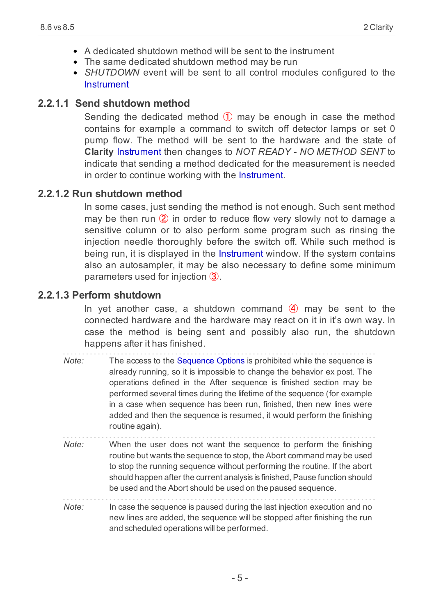- A dedicated shutdown method will be sent to the instrument
- The same dedicated shutdown method may be run
- *SHUTDOWN* event will be sent to all control modules configured to the Instrument

#### <span id="page-8-0"></span>**2.2.1.1 Send shutdown method**

Sending the dedicated method  $(1)$  may be enough in case the method contains for example a command to switch off detector lamps or set 0 pump flow. The method will be sent to the hardware and the state of **Clarity** Instrument then changes to *NOT READY - NO METHOD SENT* to indicate that sending a method dedicated for the measurement is needed in order to continue working with the Instrument.

#### <span id="page-8-1"></span>**2.2.1.2 Run shutdown method**

In some cases, just sending the method is not enough. Such sent method may be then run  $(2)$  in order to reduce flow very slowly not to damage a sensitive column or to also perform some program such as rinsing the injection needle thoroughly before the switch off. While such method is being run, it is displayed in the Instrument window. If the system contains also an autosampler, it may be also necessary to define some minimum parameters used for injection ③.

#### <span id="page-8-2"></span>**2.2.1.3 Perform shutdown**

In yet another case, a shutdown command  $\overline{4}$  may be sent to the connected hardware and the hardware may react on it in it's own way. In case the method is being sent and possibly also run, the shutdown happens after it has finished.

| Note: | The access to the Sequence Options is prohibited while the sequence is<br>already running, so it is impossible to change the behavior ex post. The<br>operations defined in the After sequence is finished section may be<br>performed several times during the lifetime of the sequence (for example<br>in a case when sequence has been run, finished, then new lines were<br>added and then the sequence is resumed, it would perform the finishing<br>routine again). |
|-------|---------------------------------------------------------------------------------------------------------------------------------------------------------------------------------------------------------------------------------------------------------------------------------------------------------------------------------------------------------------------------------------------------------------------------------------------------------------------------|
| Note: | When the user does not want the sequence to perform the finishing<br>routine but wants the sequence to stop, the Abort command may be used<br>to stop the running sequence without performing the routine. If the abort<br>should happen after the current analysis is finished, Pause function should<br>be used and the Abort should be used on the paused sequence.                                                                                                    |
| Note: | In case the sequence is paused during the last injection execution and no<br>new lines are added, the sequence will be stopped after finishing the run                                                                                                                                                                                                                                                                                                                    |

and scheduled operations will be performed.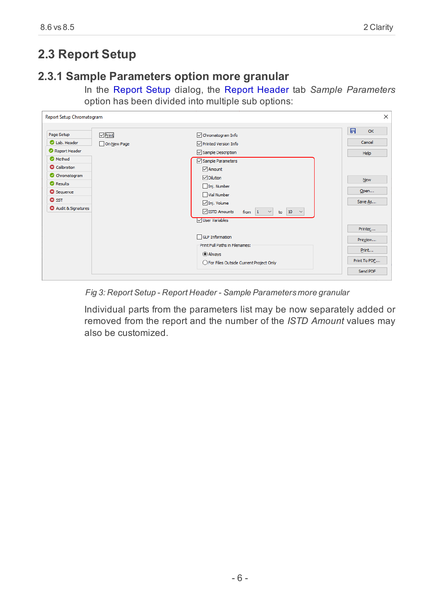### <span id="page-9-1"></span><span id="page-9-0"></span>**2.3 Report Setup**

#### **2.3.1 Sample Parameters option more granular**

In the Report Setup dialog, the Report Header tab *Sample Parameters* option has been divided into multiple sub options:

| $\neg$ Print<br>Page Setup      | Chromatogram Info                                           | 日<br>OK      |
|---------------------------------|-------------------------------------------------------------|--------------|
| Lab. Header<br>On New Page      | Printed Version Info                                        | Cancel       |
| Report Header                   | $\vee$ Sample Description                                   | Help         |
| <b>O</b> Method                 | Sample Parameters                                           |              |
| <b>Q</b> Calibration            | $\sqrt{\phantom{a}}$ Amount                                 |              |
| C Chromatogram                  | $\triangledown$ Dilution                                    | <b>New</b>   |
| <b>O</b> Results                | Inj. Number                                                 |              |
| <b>8</b> Sequence               | Vial Number                                                 | Open         |
| <b>O</b> SST                    | $\nabla$ Inj. Volume                                        | Save As      |
| <sup>3</sup> Audit & Signatures | STD Amounts<br>10<br>from 1<br>to<br>$\sim$<br>$\checkmark$ |              |
|                                 | <b>V</b> User Variables                                     |              |
|                                 |                                                             | Printer      |
|                                 | <b>GLP Information</b>                                      | Preview      |
|                                 | Print Full Paths in Filenames:                              |              |
|                                 | @ Always                                                    | Print        |
|                                 | ○ For Files Outside Current Project Only                    | Print To PDF |

*Fig 3: Report Setup - Report Header - Sample Parameters more granular*

Individual parts from the parameters list may be now separately added or removed from the report and the number of the *ISTD Amount* values may also be customized.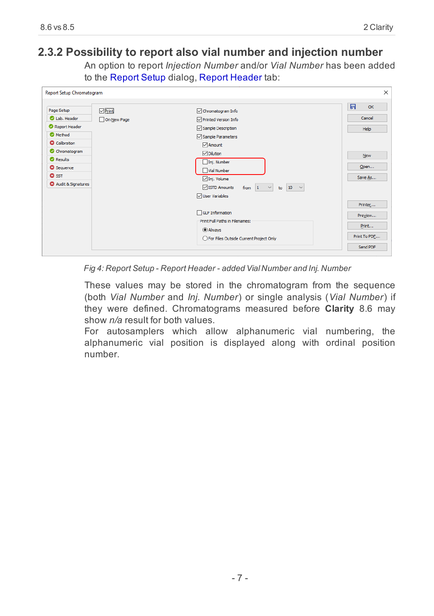#### <span id="page-10-0"></span>**2.3.2 Possibility to report also vial number and injection number**

An option to report *Injection Number* and/or *Vial Number* has been added to the Report Setup dialog, Report Header tab:



*Fig 4: Report Setup - Report Header - added Vial Number and Inj. Number*

These values may be stored in the chromatogram from the sequence (both *Vial Number* and *Inj. Number*) or single analysis (*Vial Number*) if they were defined. Chromatograms measured before **Clarity** 8.6 may show *n/a* result for both values.

For autosamplers which allow alphanumeric vial numbering, the alphanumeric vial position is displayed along with ordinal position number.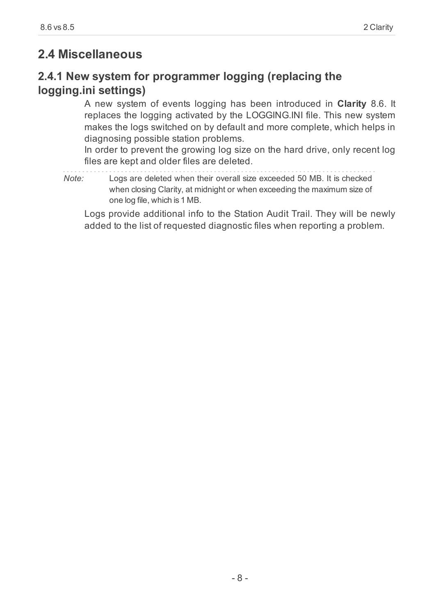### <span id="page-11-1"></span><span id="page-11-0"></span>**2.4 Miscellaneous**

### **2.4.1 New system for programmer logging (replacing the logging.ini settings)**

A new system of events logging has been introduced in **Clarity** 8.6. It replaces the logging activated by the LOGGING.INI file. This new system makes the logs switched on by default and more complete, which helps in diagnosing possible station problems.

In order to prevent the growing log size on the hard drive, only recent log files are kept and older files are deleted.

*Note:* Logs are deleted when their overall size exceeded 50 MB. It is checked when closing Clarity, at midnight or when exceeding the maximum size of one log file, which is 1 MB.

Logs provide additional info to the Station Audit Trail. They will be newly added to the list of requested diagnostic files when reporting a problem.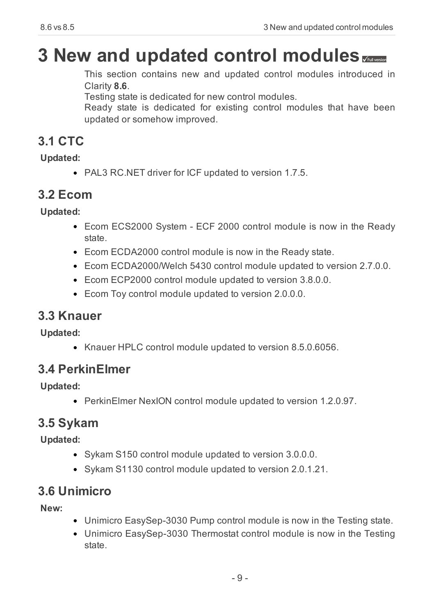# <span id="page-12-0"></span>**3 New and updated control modules**

This section contains new and updated control modules introduced in Clarity **8.6**.

Testing state is dedicated for new control modules.

Ready state is dedicated for existing control modules that have been updated or somehow improved.

### <span id="page-12-1"></span>**3.1 CTC**

**Updated:**

PAL3 RC.NET driver for ICF updated to version 1.7.5.

### <span id="page-12-2"></span>**3.2 Ecom**

**Updated:**

- Ecom ECS2000 System ECF 2000 control module is now in the Ready state.
- Ecom ECDA2000 control module is now in the Ready state.
- Ecom ECDA2000/Welch 5430 control module updated to version 2.7.0.0.
- Ecom ECP2000 control module updated to version 3.8.0.0.
- Ecom Toy control module updated to version 2.0.0.0.

### <span id="page-12-3"></span>**3.3 Knauer**

**Updated:**

• Knauer HPLC control module updated to version 8.5.0.6056.

### <span id="page-12-4"></span>**3.4 PerkinElmer**

**Updated:**

PerkinElmer NexION control module updated to version 1.2.0.97.

### <span id="page-12-5"></span>**3.5 Sykam**

**Updated:**

- Sykam S150 control module updated to version 3.0.0.0.
- Sykam S1130 control module updated to version 2.0.1.21.

### <span id="page-12-6"></span>**3.6 Unimicro**

**New:**

- Unimicro EasySep-3030 Pump control module is now in the Testing state.
- Unimicro EasySep-3030 Thermostat control module is now in the Testing state.